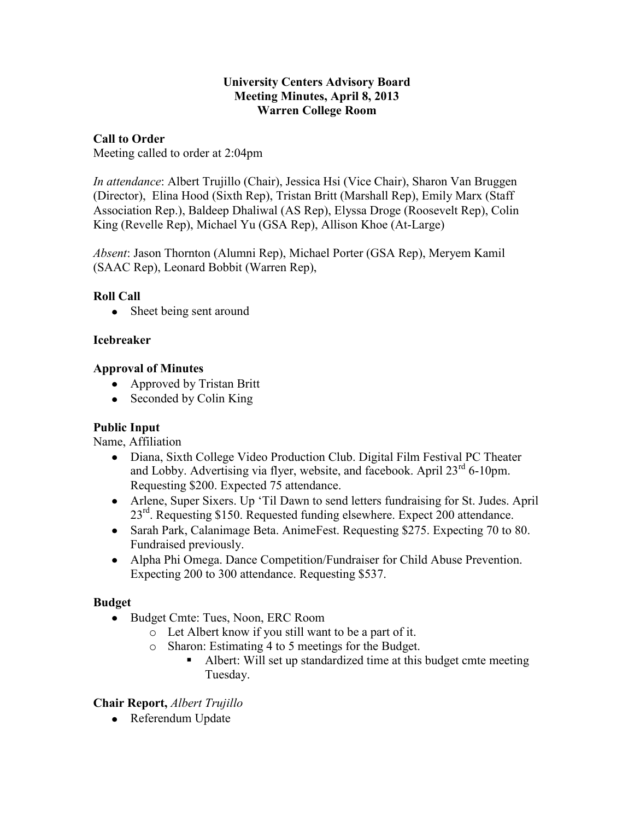#### **University Centers Advisory Board Meeting Minutes, April 8, 2013 Warren College Room**

## **Call to Order**

Meeting called to order at 2:04pm

*In attendance*: Albert Trujillo (Chair), Jessica Hsi (Vice Chair), Sharon Van Bruggen (Director), Elina Hood (Sixth Rep), Tristan Britt (Marshall Rep), Emily Marx (Staff Association Rep.), Baldeep Dhaliwal (AS Rep), Elyssa Droge (Roosevelt Rep), Colin King (Revelle Rep), Michael Yu (GSA Rep), Allison Khoe (At-Large)

*Absent*: Jason Thornton (Alumni Rep), Michael Porter (GSA Rep), Meryem Kamil (SAAC Rep), Leonard Bobbit (Warren Rep),

# **Roll Call**

Sheet being sent around  $\bullet$ 

# **Icebreaker**

# **Approval of Minutes**

- Approved by Tristan Britt
- Seconded by Colin King

# **Public Input**

Name, Affiliation

- Diana, Sixth College Video Production Club. Digital Film Festival PC Theater and Lobby. Advertising via flyer, website, and facebook. April 23<sup>rd</sup> 6-10pm. Requesting \$200. Expected 75 attendance.
- Arlene, Super Sixers. Up 'Til Dawn to send letters fundraising for St. Judes. April 23<sup>rd</sup>. Requesting \$150. Requested funding elsewhere. Expect 200 attendance.
- Sarah Park, Calanimage Beta. AnimeFest. Requesting \$275. Expecting 70 to 80. Fundraised previously.
- Alpha Phi Omega. Dance Competition/Fundraiser for Child Abuse Prevention. Expecting 200 to 300 attendance. Requesting \$537.

#### **Budget**

- Budget Cmte: Tues, Noon, ERC Room
	- o Let Albert know if you still want to be a part of it.
	- o Sharon: Estimating 4 to 5 meetings for the Budget.
		- Albert: Will set up standardized time at this budget cmte meeting Tuesday.

# **Chair Report,** *Albert Trujillo*

• Referendum Update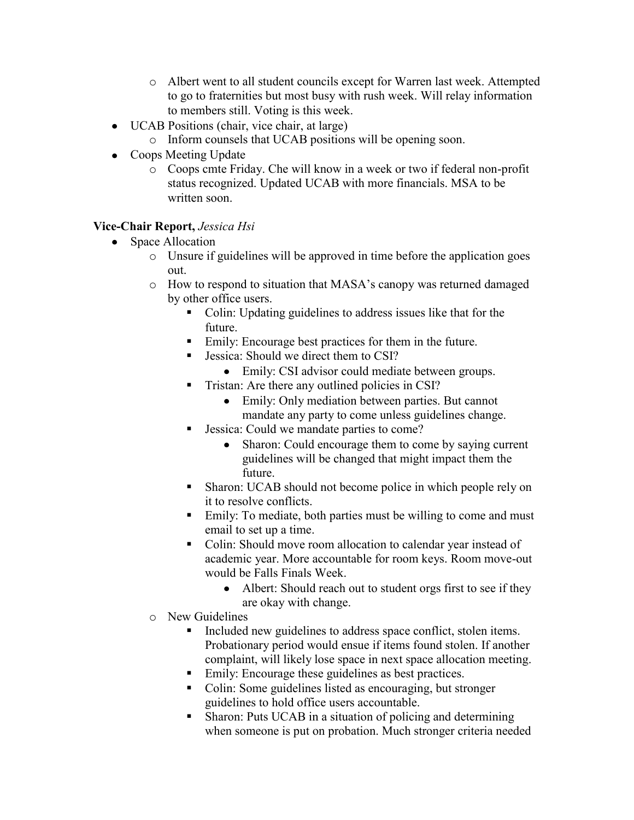- o Albert went to all student councils except for Warren last week. Attempted to go to fraternities but most busy with rush week. Will relay information to members still. Voting is this week.
- UCAB Positions (chair, vice chair, at large)
	- o Inform counsels that UCAB positions will be opening soon.
- Coops Meeting Update
	- o Coops cmte Friday. Che will know in a week or two if federal non-profit status recognized. Updated UCAB with more financials. MSA to be written soon.

# **Vice-Chair Report,** *Jessica Hsi*

- Space Allocation
	- o Unsure if guidelines will be approved in time before the application goes out.
	- o How to respond to situation that MASA's canopy was returned damaged by other office users.
		- Colin: Updating guidelines to address issues like that for the future.
		- Emily: Encourage best practices for them in the future.
		- **Jessica:** Should we direct them to CSI?
			- Emily: CSI advisor could mediate between groups.
		- **Tristan:** Are there any outlined policies in CSI?
			- Emily: Only mediation between parties. But cannot mandate any party to come unless guidelines change.
		- Jessica: Could we mandate parties to come?
			- Sharon: Could encourage them to come by saying current  $\bullet$ guidelines will be changed that might impact them the future.
		- Sharon: UCAB should not become police in which people rely on it to resolve conflicts.
		- Emily: To mediate, both parties must be willing to come and must email to set up a time.
		- Colin: Should move room allocation to calendar year instead of academic year. More accountable for room keys. Room move-out would be Falls Finals Week.
			- Albert: Should reach out to student orgs first to see if they  $\bullet$ are okay with change.
	- o New Guidelines
		- Included new guidelines to address space conflict, stolen items. Probationary period would ensue if items found stolen. If another complaint, will likely lose space in next space allocation meeting.
		- Emily: Encourage these guidelines as best practices.
		- Colin: Some guidelines listed as encouraging, but stronger guidelines to hold office users accountable.
		- Sharon: Puts UCAB in a situation of policing and determining when someone is put on probation. Much stronger criteria needed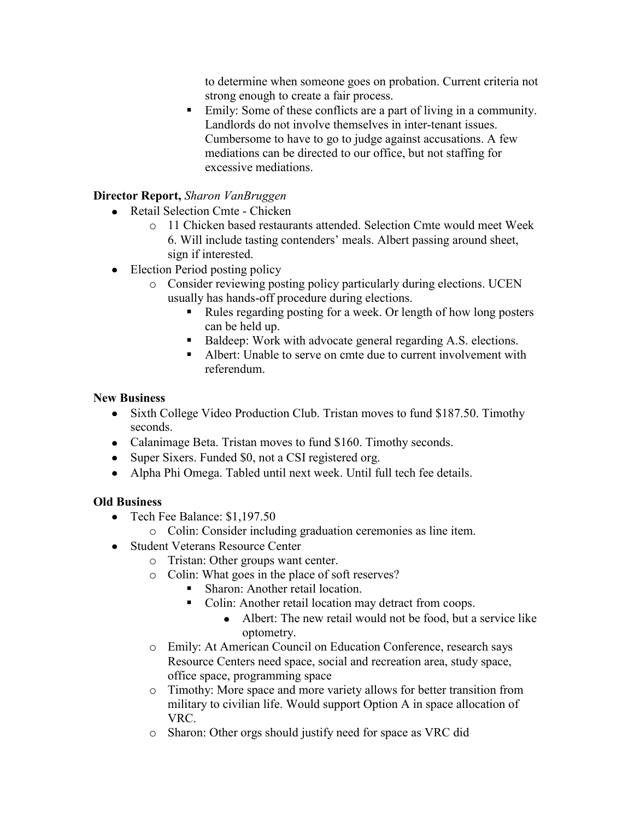to determine when someone goes on probation. Current criteria not strong enough to create a fair process.

 Emily: Some of these conflicts are a part of living in a community. Landlords do not involve themselves in inter-tenant issues. Cumbersome to have to go to judge against accusations. A few mediations can be directed to our office, but not staffing for excessive mediations.

# **Director Report,** *Sharon VanBruggen*

- Retail Selection Cmte Chicken
	- o 11 Chicken based restaurants attended. Selection Cmte would meet Week 6. Will include tasting contenders' meals. Albert passing around sheet, sign if interested.
- Election Period posting policy
	- o Consider reviewing posting policy particularly during elections. UCEN usually has hands-off procedure during elections.
		- Rules regarding posting for a week. Or length of how long posters can be held up.
		- Baldeep: Work with advocate general regarding A.S. elections.
		- Albert: Unable to serve on cmte due to current involvement with referendum.

#### **New Business**

- Sixth College Video Production Club. Tristan moves to fund \$187.50. Timothy seconds.
- Calanimage Beta. Tristan moves to fund \$160. Timothy seconds.
- Super Sixers. Funded \$0, not a CSI registered org.
- Alpha Phi Omega. Tabled until next week. Until full tech fee details.

#### **Old Business**

- Tech Fee Balance: \$1,197.50
	- o Colin: Consider including graduation ceremonies as line item.
- Student Veterans Resource Center
	- o Tristan: Other groups want center.
		- o Colin: What goes in the place of soft reserves?
			- Sharon: Another retail location.
			- Colin: Another retail location may detract from coops.
				- Albert: The new retail would not be food, but a service like optometry.
		- o Emily: At American Council on Education Conference, research says Resource Centers need space, social and recreation area, study space, office space, programming space
		- o Timothy: More space and more variety allows for better transition from military to civilian life. Would support Option A in space allocation of VRC.
		- o Sharon: Other orgs should justify need for space as VRC did